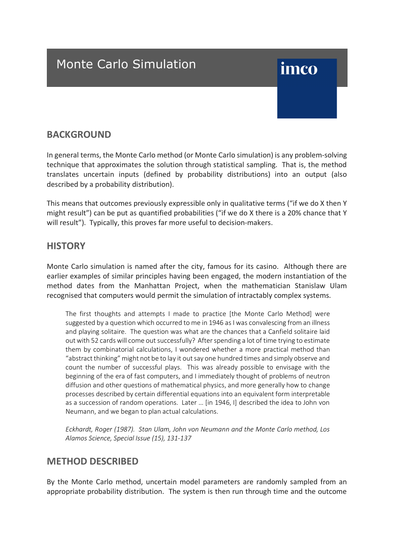## Monte Carlo Simulation

# imco

#### **BACKGROUND**

In general terms, the Monte Carlo method (or Monte Carlo simulation) is any problem-solving technique that approximates the solution through statistical sampling. That is, the method translates uncertain inputs (defined by probability distributions) into an output (also described by a probability distribution).

This means that outcomes previously expressible only in qualitative terms ("if we do X then Y might result") can be put as quantified probabilities ("if we do X there is a 20% chance that Y will result"). Typically, this proves far more useful to decision-makers.

#### **HISTORY**

Monte Carlo simulation is named after the city, famous for its casino. Although there are earlier examples of similar principles having been engaged, the modern instantiation of the method dates from the Manhattan Project, when the mathematician Stanislaw Ulam recognised that computers would permit the simulation of intractably complex systems.

The first thoughts and attempts I made to practice [the Monte Carlo Method] were suggested by a question which occurred to me in 1946 as I was convalescing from an illness and playing solitaire. The question was what are the chances that a Canfield solitaire laid out with 52 cards will come out successfully? After spending a lot of time trying to estimate them by combinatorial calculations, I wondered whether a more practical method than "abstract thinking" might not be to lay it out say one hundred times and simply observe and count the number of successful plays. This was already possible to envisage with the beginning of the era of fast computers, and I immediately thought of problems of neutron diffusion and other questions of mathematical physics, and more generally how to change processes described by certain differential equations into an equivalent form interpretable as a succession of random operations. Later … [in 1946, I] described the idea to John von Neumann, and we began to plan actual calculations.

*Eckhardt, Roger (1987). Stan Ulam, John von Neumann and the Monte Carlo method, Los Alamos Science, Special Issue (15), 131-137*

#### **METHOD DESCRIBED**

By the Monte Carlo method, uncertain model parameters are randomly sampled from an appropriate probability distribution. The system is then run through time and the outcome